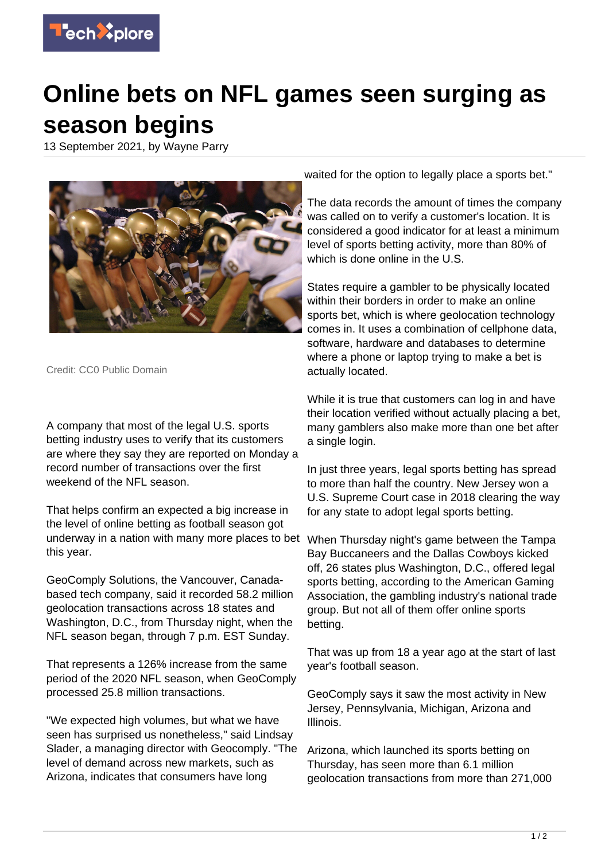

## **Online bets on NFL games seen surging as season begins**

13 September 2021, by Wayne Parry



Credit: CC0 Public Domain

A company that most of the legal U.S. sports betting industry uses to verify that its customers are where they say they are reported on Monday a record number of transactions over the first weekend of the NFL season.

That helps confirm an expected a big increase in the level of online betting as football season got underway in a nation with many more places to bet this year.

GeoComply Solutions, the Vancouver, Canadabased tech company, said it recorded 58.2 million geolocation transactions across 18 states and Washington, D.C., from Thursday night, when the NFL season began, through 7 p.m. EST Sunday.

That represents a 126% increase from the same period of the 2020 NFL season, when GeoComply processed 25.8 million transactions.

"We expected high volumes, but what we have seen has surprised us nonetheless," said Lindsay Slader, a managing director with Geocomply. "The level of demand across new markets, such as Arizona, indicates that consumers have long

waited for the option to legally place a sports bet."

The data records the amount of times the company was called on to verify a customer's location. It is considered a good indicator for at least a minimum level of sports betting activity, more than 80% of which is done online in the U.S.

States require a gambler to be physically located within their borders in order to make an online sports bet, which is where geolocation technology comes in. It uses a combination of cellphone data, software, hardware and databases to determine where a phone or laptop trying to make a bet is actually located.

While it is true that customers can log in and have their location verified without actually placing a bet, many gamblers also make more than one bet after a single login.

In just three years, legal sports betting has spread to more than half the country. New Jersey won a U.S. Supreme Court case in 2018 clearing the way for any state to adopt legal sports betting.

When Thursday night's game between the Tampa Bay Buccaneers and the Dallas Cowboys kicked off, 26 states plus Washington, D.C., offered legal sports betting, according to the American Gaming Association, the gambling industry's national trade group. But not all of them offer online sports betting.

That was up from 18 a year ago at the start of last year's football season.

GeoComply says it saw the most activity in New Jersey, Pennsylvania, Michigan, Arizona and Illinois.

Arizona, which launched its sports betting on Thursday, has seen more than 6.1 million geolocation transactions from more than 271,000